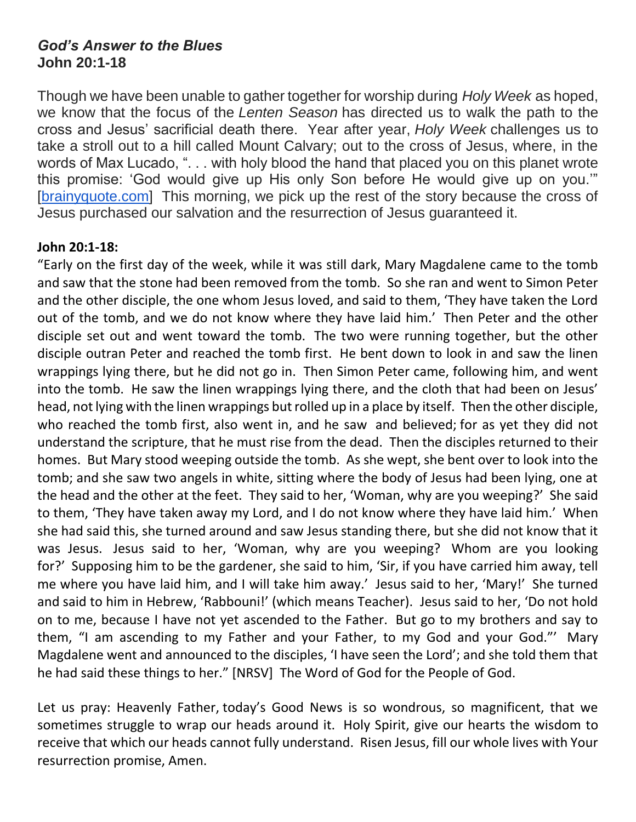## *God's Answer to the Blues* **John 20:1-18**

Though we have been unable to gather together for worship during *Holy Week* as hoped, we know that the focus of the *Lenten Season* has directed us to walk the path to the cross and Jesus' sacrificial death there. Year after year, *Holy Week* challenges us to take a stroll out to a hill called Mount Calvary; out to the cross of Jesus, where, in the words of Max Lucado, ". . . with holy blood the hand that placed you on this planet wrote this promise: 'God would give up His only Son before He would give up on you.'" [\[brainyquote.com\]](http://brainyquote.com/) This morning, we pick up the rest of the story because the cross of Jesus purchased our salvation and the resurrection of Jesus guaranteed it.

## **John 20:1-18:**

"Early on the first day of the week, while it was still dark, Mary Magdalene came to the tomb and saw that the stone had been removed from the tomb. So she ran and went to Simon Peter and the other disciple, the one whom Jesus loved, and said to them, 'They have taken the Lord out of the tomb, and we do not know where they have laid him.' Then Peter and the other disciple set out and went toward the tomb. The two were running together, but the other disciple outran Peter and reached the tomb first. He bent down to look in and saw the linen wrappings lying there, but he did not go in. Then Simon Peter came, following him, and went into the tomb. He saw the linen wrappings lying there, and the cloth that had been on Jesus' head, not lying with the linen wrappings but rolled up in a place by itself. Then the other disciple, who reached the tomb first, also went in, and he saw and believed; for as yet they did not understand the scripture, that he must rise from the dead. Then the disciples returned to their homes. But Mary stood weeping outside the tomb. As she wept, she bent over to look into the tomb; and she saw two angels in white, sitting where the body of Jesus had been lying, one at the head and the other at the feet. They said to her, 'Woman, why are you weeping?' She said to them, 'They have taken away my Lord, and I do not know where they have laid him.' When she had said this, she turned around and saw Jesus standing there, but she did not know that it was Jesus. Jesus said to her, 'Woman, why are you weeping? Whom are you looking for?' Supposing him to be the gardener, she said to him, 'Sir, if you have carried him away, tell me where you have laid him, and I will take him away.' Jesus said to her, 'Mary!' She turned and said to him in Hebrew, 'Rabbouni!' (which means Teacher). Jesus said to her, 'Do not hold on to me, because I have not yet ascended to the Father. But go to my brothers and say to them, "I am ascending to my Father and your Father, to my God and your God."' Mary Magdalene went and announced to the disciples, 'I have seen the Lord'; and she told them that he had said these things to her." [NRSV] The Word of God for the People of God.

Let us pray: Heavenly Father, today's Good News is so wondrous, so magnificent, that we sometimes struggle to wrap our heads around it. Holy Spirit, give our hearts the wisdom to receive that which our heads cannot fully understand. Risen Jesus, fill our whole lives with Your resurrection promise, Amen.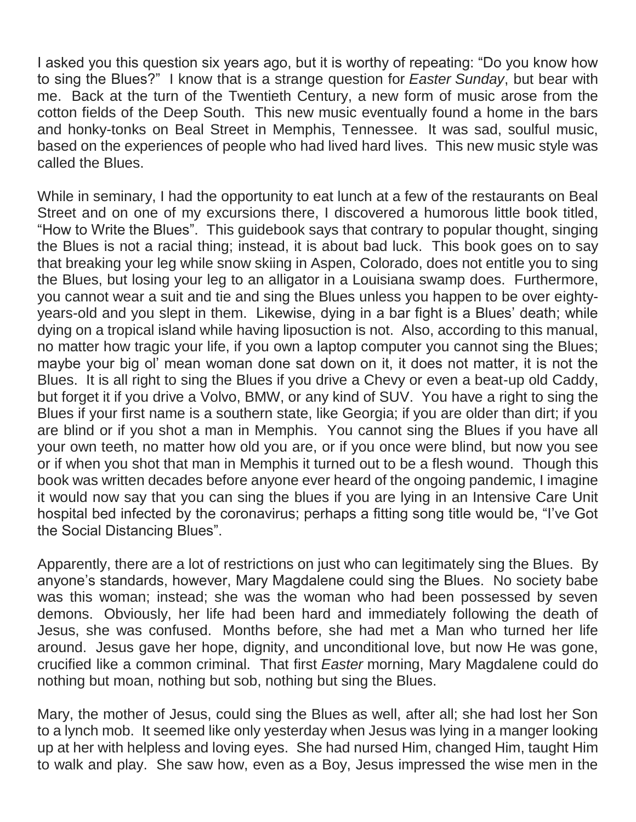I asked you this question six years ago, but it is worthy of repeating: "Do you know how to sing the Blues?" I know that is a strange question for *Easter Sunday*, but bear with me. Back at the turn of the Twentieth Century, a new form of music arose from the cotton fields of the Deep South. This new music eventually found a home in the bars and honky-tonks on Beal Street in Memphis, Tennessee. It was sad, soulful music, based on the experiences of people who had lived hard lives. This new music style was called the Blues.

While in seminary, I had the opportunity to eat lunch at a few of the restaurants on Beal Street and on one of my excursions there, I discovered a humorous little book titled, "How to Write the Blues". This guidebook says that contrary to popular thought, singing the Blues is not a racial thing; instead, it is about bad luck. This book goes on to say that breaking your leg while snow skiing in Aspen, Colorado, does not entitle you to sing the Blues, but losing your leg to an alligator in a Louisiana swamp does. Furthermore, you cannot wear a suit and tie and sing the Blues unless you happen to be over eightyyears-old and you slept in them. Likewise, dying in a bar fight is a Blues' death; while dying on a tropical island while having liposuction is not. Also, according to this manual, no matter how tragic your life, if you own a laptop computer you cannot sing the Blues; maybe your big ol' mean woman done sat down on it, it does not matter, it is not the Blues. It is all right to sing the Blues if you drive a Chevy or even a beat-up old Caddy, but forget it if you drive a Volvo, BMW, or any kind of SUV. You have a right to sing the Blues if your first name is a southern state, like Georgia; if you are older than dirt; if you are blind or if you shot a man in Memphis. You cannot sing the Blues if you have all your own teeth, no matter how old you are, or if you once were blind, but now you see or if when you shot that man in Memphis it turned out to be a flesh wound. Though this book was written decades before anyone ever heard of the ongoing pandemic, I imagine it would now say that you can sing the blues if you are lying in an Intensive Care Unit hospital bed infected by the coronavirus; perhaps a fitting song title would be, "I've Got the Social Distancing Blues".

Apparently, there are a lot of restrictions on just who can legitimately sing the Blues. By anyone's standards, however, Mary Magdalene could sing the Blues. No society babe was this woman; instead; she was the woman who had been possessed by seven demons. Obviously, her life had been hard and immediately following the death of Jesus, she was confused. Months before, she had met a Man who turned her life around. Jesus gave her hope, dignity, and unconditional love, but now He was gone, crucified like a common criminal. That first *Easter* morning, Mary Magdalene could do nothing but moan, nothing but sob, nothing but sing the Blues.

Mary, the mother of Jesus, could sing the Blues as well, after all; she had lost her Son to a lynch mob. It seemed like only yesterday when Jesus was lying in a manger looking up at her with helpless and loving eyes. She had nursed Him, changed Him, taught Him to walk and play. She saw how, even as a Boy, Jesus impressed the wise men in the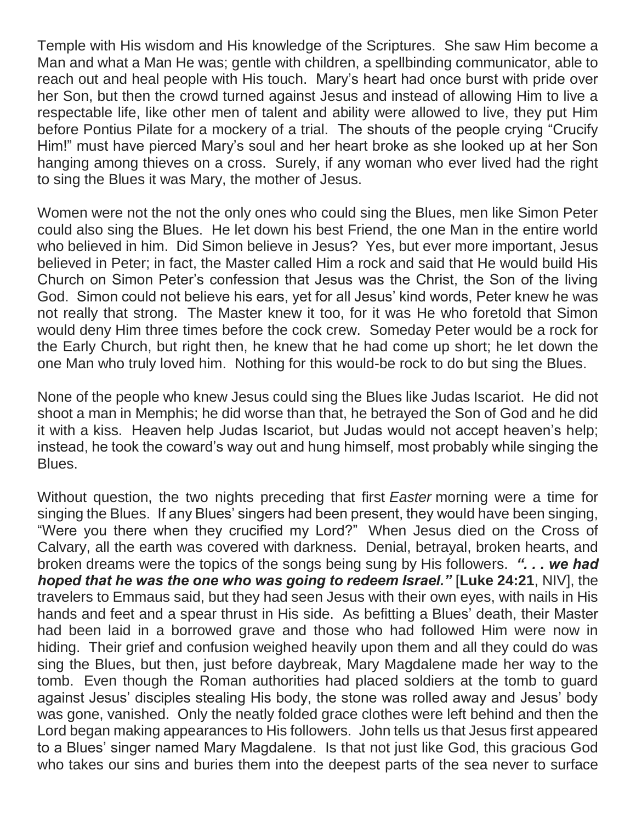Temple with His wisdom and His knowledge of the Scriptures. She saw Him become a Man and what a Man He was; gentle with children, a spellbinding communicator, able to reach out and heal people with His touch. Mary's heart had once burst with pride over her Son, but then the crowd turned against Jesus and instead of allowing Him to live a respectable life, like other men of talent and ability were allowed to live, they put Him before Pontius Pilate for a mockery of a trial. The shouts of the people crying "Crucify Him!" must have pierced Mary's soul and her heart broke as she looked up at her Son hanging among thieves on a cross. Surely, if any woman who ever lived had the right to sing the Blues it was Mary, the mother of Jesus.

Women were not the not the only ones who could sing the Blues, men like Simon Peter could also sing the Blues. He let down his best Friend, the one Man in the entire world who believed in him. Did Simon believe in Jesus? Yes, but ever more important, Jesus believed in Peter; in fact, the Master called Him a rock and said that He would build His Church on Simon Peter's confession that Jesus was the Christ, the Son of the living God. Simon could not believe his ears, yet for all Jesus' kind words, Peter knew he was not really that strong. The Master knew it too, for it was He who foretold that Simon would deny Him three times before the cock crew. Someday Peter would be a rock for the Early Church, but right then, he knew that he had come up short; he let down the one Man who truly loved him. Nothing for this would-be rock to do but sing the Blues.

None of the people who knew Jesus could sing the Blues like Judas Iscariot. He did not shoot a man in Memphis; he did worse than that, he betrayed the Son of God and he did it with a kiss. Heaven help Judas Iscariot, but Judas would not accept heaven's help; instead, he took the coward's way out and hung himself, most probably while singing the Blues.

Without question, the two nights preceding that first *Easter* morning were a time for singing the Blues. If any Blues' singers had been present, they would have been singing, "Were you there when they crucified my Lord?" When Jesus died on the Cross of Calvary, all the earth was covered with darkness. Denial, betrayal, broken hearts, and broken dreams were the topics of the songs being sung by His followers. *". . . we had hoped that he was the one who was going to redeem Israel."* [**Luke 24:21**, NIV], the travelers to Emmaus said, but they had seen Jesus with their own eyes, with nails in His hands and feet and a spear thrust in His side. As befitting a Blues' death, their Master had been laid in a borrowed grave and those who had followed Him were now in hiding. Their grief and confusion weighed heavily upon them and all they could do was sing the Blues, but then, just before daybreak, Mary Magdalene made her way to the tomb. Even though the Roman authorities had placed soldiers at the tomb to guard against Jesus' disciples stealing His body, the stone was rolled away and Jesus' body was gone, vanished. Only the neatly folded grace clothes were left behind and then the Lord began making appearances to His followers. John tells us that Jesus first appeared to a Blues' singer named Mary Magdalene. Is that not just like God, this gracious God who takes our sins and buries them into the deepest parts of the sea never to surface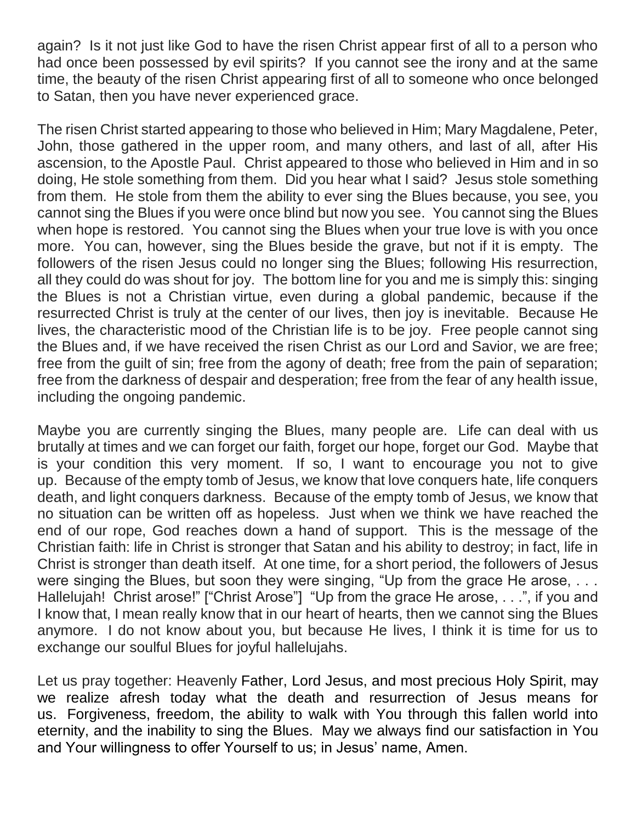again? Is it not just like God to have the risen Christ appear first of all to a person who had once been possessed by evil spirits? If you cannot see the irony and at the same time, the beauty of the risen Christ appearing first of all to someone who once belonged to Satan, then you have never experienced grace.

The risen Christ started appearing to those who believed in Him; Mary Magdalene, Peter, John, those gathered in the upper room, and many others, and last of all, after His ascension, to the Apostle Paul. Christ appeared to those who believed in Him and in so doing, He stole something from them. Did you hear what I said? Jesus stole something from them. He stole from them the ability to ever sing the Blues because, you see, you cannot sing the Blues if you were once blind but now you see. You cannot sing the Blues when hope is restored. You cannot sing the Blues when your true love is with you once more. You can, however, sing the Blues beside the grave, but not if it is empty. The followers of the risen Jesus could no longer sing the Blues; following His resurrection, all they could do was shout for joy. The bottom line for you and me is simply this: singing the Blues is not a Christian virtue, even during a global pandemic, because if the resurrected Christ is truly at the center of our lives, then joy is inevitable. Because He lives, the characteristic mood of the Christian life is to be joy. Free people cannot sing the Blues and, if we have received the risen Christ as our Lord and Savior, we are free; free from the guilt of sin; free from the agony of death; free from the pain of separation; free from the darkness of despair and desperation; free from the fear of any health issue, including the ongoing pandemic.

Maybe you are currently singing the Blues, many people are. Life can deal with us brutally at times and we can forget our faith, forget our hope, forget our God. Maybe that is your condition this very moment. If so, I want to encourage you not to give up. Because of the empty tomb of Jesus, we know that love conquers hate, life conquers death, and light conquers darkness. Because of the empty tomb of Jesus, we know that no situation can be written off as hopeless. Just when we think we have reached the end of our rope, God reaches down a hand of support. This is the message of the Christian faith: life in Christ is stronger that Satan and his ability to destroy; in fact, life in Christ is stronger than death itself. At one time, for a short period, the followers of Jesus were singing the Blues, but soon they were singing, "Up from the grace He arose, ... Hallelujah! Christ arose!" ["Christ Arose"] "Up from the grace He arose, . . .", if you and I know that, I mean really know that in our heart of hearts, then we cannot sing the Blues anymore. I do not know about you, but because He lives, I think it is time for us to exchange our soulful Blues for joyful hallelujahs.

Let us pray together: Heavenly Father, Lord Jesus, and most precious Holy Spirit, may we realize afresh today what the death and resurrection of Jesus means for us. Forgiveness, freedom, the ability to walk with You through this fallen world into eternity, and the inability to sing the Blues. May we always find our satisfaction in You and Your willingness to offer Yourself to us; in Jesus' name, Amen.